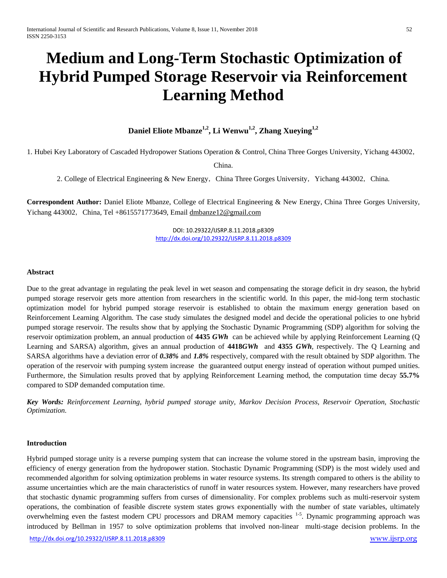# **Medium and Long-Term Stochastic Optimization of Hybrid Pumped Storage Reservoir via Reinforcement Learning Method**

Daniel Eliote Mbanze<sup>1,2</sup>, Li Wenwu<sup>1,2</sup>, Zhang Xueying<sup>1,2</sup>

1. Hubei Key Laboratory of Cascaded Hydropower Stations Operation & Control, China Three Gorges University, Yichang 443002,

China.

2. College of Electrical Engineering & New Energy, China Three Gorges University, Yichang 443002, China.

**Correspondent Author:** Daniel Eliote Mbanze, College of Electrical Engineering & New Energy, China Three Gorges University, Yichang  $443002$ , China, Tel +8615571773649, Email [dmbanze12@gmail.com](mailto:XXX@mail.com)

> DOI: 10.29322/IJSRP.8.11.2018.p8309 <http://dx.doi.org/10.29322/IJSRP.8.11.2018.p8309>

### **Abstract**

Due to the great advantage in regulating the peak level in wet season and compensating the storage deficit in dry season, the hybrid pumped storage reservoir gets more attention from researchers in the scientific world. In this paper, the mid-long term stochastic optimization model for hybrid pumped storage reservoir is established to obtain the maximum energy generation based on Reinforcement Learning Algorithm. The case study simulates the designed model and decide the operational policies to one hybrid pumped storage reservoir. The results show that by applying the Stochastic Dynamic Programming (SDP) algorithm for solving the reservoir optimization problem, an annual production of **4435** *GWh* can be achieved while by applying Reinforcement Learning (Q Learning and SARSA) algorithm, gives an annual production of **4418***GWh* and **4355** *GWh,* respectively. The Q Learning and SARSA algorithms have a deviation error of *0.38%* and *1.8%* respectively, compared with the result obtained by SDP algorithm. The operation of the reservoir with pumping system increase the guaranteed output energy instead of operation without pumped unities. Furthermore, the Simulation results proved that by applying Reinforcement Learning method, the computation time decay **55.7%** compared to SDP demanded computation time.

*Key Words: Reinforcement Learning, hybrid pumped storage unity, Markov Decision Process, Reservoir Operation, Stochastic Optimization.*

#### **Introduction**

Hybrid pumped storage unity is a reverse pumping system that can increase the volume stored in the upstream basin, improving the efficiency of energy generation from the hydropower station. Stochastic Dynamic Programming (SDP) is the most widely used and recommended algorithm for solving optimization problems in water resource systems. Its strength compared to others is the ability to assume uncertainties which are the main characteristics of runoff in water resources system. However, many researchers have proved that stochastic dynamic programming suffers from curses of dimensionality. For complex problems such as multi-reservoir system operations, the combination of feasible discrete system states grows exponentially with the number of state variables, ultimately overwhelming even the fastest modern CPU processors and DRAM memory capacities <sup>1-5</sup>. Dynamic programming approach was introduced by Bellman in 1957 to solve optimization problems that involved non-linear multi-stage decision problems. In the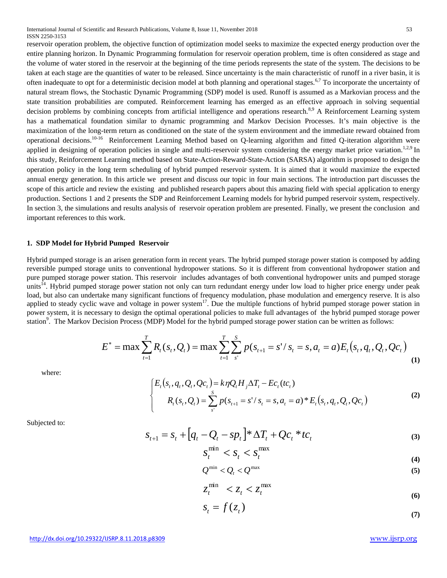International Journal of Scientific and Research Publications, Volume 8, Issue 11, November 2018 53 ISSN 2250-3153

reservoir operation problem, the objective function of optimization model seeks to maximize the expected energy production over the entire planning horizon. In Dynamic Programming formulation for reservoir operation problem, time is often considered as stage and the volume of water stored in the reservoir at the beginning of the time periods represents the state of the system. The decisions to be taken at each stage are the quantities of water to be released. Since uncertainty is the main characteristic of runoff in a river basin, it is often inadequate to opt for a deterministic decision model at both planning and operational stages.<sup>6,7</sup> To incorporate the uncertainty of natural stream flows, the Stochastic Dynamic Programming (SDP) model is used. Runoff is assumed as a Markovian process and the state transition probabilities are computed. Reinforcement learning has emerged as an effective approach in solving sequential decision problems by combining concepts from artificial intelligence and operations research.<sup>8,9</sup> A Reinforcement Learning system has a mathematical foundation similar to dynamic programming and Markov Decision Processes. It's main objective is the maximization of the long-term return as conditioned on the state of the system environment and the immediate reward obtained from operational decisions.<sup>10-16</sup> Reinforcement Learning Method based on Q-learning algorithm and fitted Q-iteration algorithm were applied in designing of operation policies in single and multi-reservoir system considering the energy market price variation.<sup>1,2,9</sup> In this study, Reinforcement Learning method based on State-Action-Reward-State-Action (SARSA) algorithm is proposed to design the operation policy in the long term scheduling of hybrid pumped reservoir system. It is aimed that it would maximize the expected annual energy generation. In this article we present and discuss our topic in four main sections. The introduction part discusses the scope of this article and review the existing and published research papers about this amazing field with special application to energy production. Sections 1 and 2 presents the SDP and Reinforcement Learning models for hybrid pumped reservoir system, respectively. In section 3, the simulations and results analysis of reservoir operation problem are presented. Finally, we present the conclusion and important references to this work.

### **1. SDP Model for Hybrid Pumped Reservoir**

Hybrid pumped storage is an arisen generation form in recent years. The hybrid pumped storage power station is composed by adding reversible pumped storage units to conventional hydropower stations. So it is different from conventional hydropower station and pure pumped storage power station. This reservoir includes advantages of both conventional hydropower units and pumped storage units<sup>14</sup>. Hybrid pumped storage power station not only can turn redundant energy under low load to higher price energy under peak load, but also can undertake many significant functions of frequency modulation, phase modulation and emergency reserve. It is also applied to steady cyclic wave and voltage in power system<sup>17</sup>. Due the multiple functions of hybrid pumped storage power station in power system, it is necessary to design the optimal operational policies to make full advantages of the hybrid pumped storage power station<sup>9</sup>. The Markov Decision Process (MDP) Model for the hybrid pumped storage power station can be written as follows:

$$
E^* = \max \sum_{t=1}^T R_t(s_t, Q_t) = \max \sum_{t=1}^T \sum_{s'}^S p(s_{t+1} = s'/s_t = s, a_t = a) E_t(s_t, q_t, Q_t, Q_c)
$$
\n(1)

where:

$$
\begin{cases}\nE_t(s_t, q_t, Q_t, Qc_t) = k\eta Q_t H_j \Delta T_t - E c_t(t c_t) \\
R_t(s_t, Q_t) = \sum_{s'}^S p(s_{t+1} = s'/s_t = s, a_t = a) * E_t(s_t, q_t, Q_t, Qc_t)\n\end{cases}
$$
\n(2)

Subjected to:

$$
S_{t+1} = S_t + [q_t - Q_t - sp_t] * \Delta T_t + Qc_t * tc_t
$$
\n<sup>(3)</sup>

$$
S_t^{\min} < S_t < S_t^{\max} \tag{4}
$$

$$
Q^{\min} < Q_t < Q^{\max} \tag{5}
$$

$$
z_t^{\min} < z_t < z_t^{\max} \tag{6}
$$

$$
S_t = f(z_t) \tag{7}
$$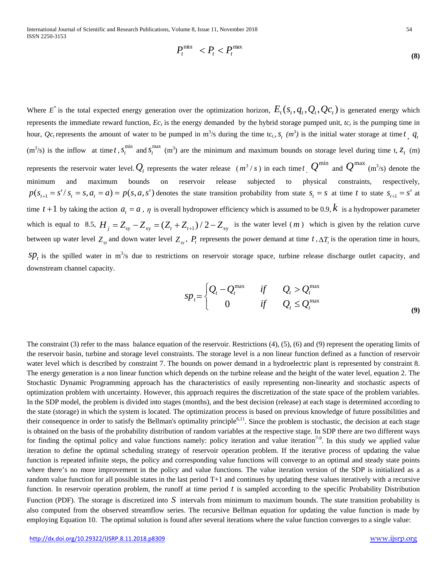International Journal of Scientific and Research Publications, Volume 8, Issue 11, November 2018 54 ISSN 2250-3153

$$
P_t^{\min} < P_t < P_t^{\max} \tag{8}
$$

Where  $E^*$  is the total expected energy generation over the optimization horizon,  $E_t(s_t, q_t, Q_t, Q_c)$  is generated energy which represents the immediate reward function,  $E_c<sub>t</sub>$  is the energy demanded by the hybrid storage pumped unit,  $tc<sub>t</sub>$  is the pumping time in hour,  $Qc_t$  represents the amount of water to be pumped in m<sup>3</sup>/s during the time tc<sub>t</sub>,  $s_t$   $(m^3)$  is the initial water storage at time *t*,  $q_t$  $(m^3/s)$  is the inflow at time *t*,  $s_t^{\min}$  and  $s_t^{\max}$  (m<sup>3</sup>) are the minimum and maximum bounds on storage level during time t,  $z_t$  (m) represents the reservoir water level.  $Q_t$  represents the water release  $(m^3/s)$  in each time *t* .  $Q^{\min}$  and  $Q^{\max}$   $(m^3/s)$  denote the minimum and maximum bounds on reservoir release subjected to physical constraints, respectively,  $p(s_{t+1} = s'/s_t = s, a_t = a) = p(s, a, s')$  denotes the state transition probability from state  $s_t = s$  at time t to state  $s_{t+1} = s'$  at time  $t+1$  by taking the action  $a_t = a$ ,  $\eta$  is overall hydropower efficiency which is assumed to be 0.9,  $k$  is a hydropower parameter which is equal to 8.5,  $H_j = Z_{sy} - Z_{xy} = (Z_t + Z_{t+1})/2 - Z_{xy}$  is the water level (*m*) which is given by the relation curve between up water level  $Z_{xy}$  and down water level  $Z_{xy}$ ,  $P_t$  represents the power demand at time  $t$ ,  $\Delta T_t$  is the operation time in hours,  $sp<sub>t</sub>$  is the spilled water in m<sup>3</sup>/s due to restrictions on reservoir storage space, turbine release discharge outlet capacity, and downstream channel capacity.

$$
sp_t = \begin{cases} Q_t - Q_t^{\max} & \text{if } Q_t > Q_t^{\max} \\ 0 & \text{if } Q_t \leq Q_t^{\max} \end{cases}
$$
(9)

The constraint (3) refer to the mass balance equation of the reservoir. Restrictions (4), (5), (6) and (9) represent the operating limits of the reservoir basin, turbine and storage level constraints. The storage level is a non linear function defined as a function of reservoir water level which is described by constraint 7. The bounds on power demand in a hydroelectric plant is represented by constraint 8. The energy generation is a non linear function which depends on the turbine release and the height of the water level, equation 2. The Stochastic Dynamic Programming approach has the characteristics of easily representing non-linearity and stochastic aspects of optimization problem with uncertainty. However, this approach requires the discretization of the state space of the problem variables. In the SDP model, the problem is divided into stages (months), and the best decision (release) at each stage is determined according to the state (storage) in which the system is located. The optimization process is based on previous knowledge of future possibilities and their consequence in order to satisfy the Bellman's optimality principle<sup>6,11</sup>. Since the problem is stochastic, the decision at each stage is obtained on the basis of the probability distribution of random variables at the respective stage. In SDP there are two different ways for finding the optimal policy and value functions namely: policy iteration and value iteration*7-9* . In this study we applied value iteration to define the optimal scheduling strategy of reservoir operation problem. If the iterative process of updating the value function is repeated infinite steps, the policy and corresponding value functions will converge to an optimal and steady state points where there's no more improvement in the policy and value functions. The value iteration version of the SDP is initialized as a random value function for all possible states in the last period T+1 and continues by updating these values iteratively with a recursive function. In reservoir operation problem, the runoff at time period  $t$  is sampled according to the specific Probability Distribution Function (PDF). The storage is discretized into *S* intervals from minimum to maximum bounds. The state transition probability is also computed from the observed streamflow series. The recursive Bellman equation for updating the value function is made by employing Equation 10. The optimal solution is found after several iterations where the value function converges to a single value: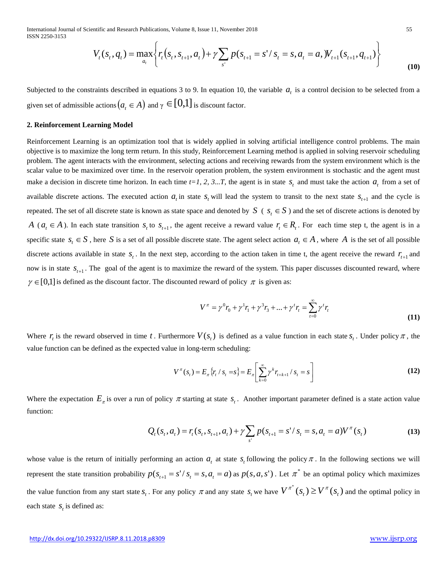International Journal of Scientific and Research Publications, Volume 8, Issue 11, November 2018 55 ISSN 2250-3153

$$
V_t(s_t, q_t) = \max_{a_t} \left\{ r_t(s_t, s_{t+1}, a_t) + \gamma \sum_{s'} p(s_{t+1} = s' / s_t = s, a_t = a, W_{t+1}(s_{t+1}, q_{t+1}) \right\}
$$
(10)

Subjected to the constraints described in equations  $3$  to  $9$ . In equation 10, the variable  $a<sub>i</sub>$  is a control decision to be selected from a given set of admissible actions  $(a_{i} \in A)$  and  $\gamma \in [0,1]$  is discount factor.

#### **2. Reinforcement Learning Model**

Reinforcement Learning is an optimization tool that is widely applied in solving artificial intelligence control problems. The main objective is to maximize the long term return. In this study, Reinforcement Learning method is applied in solving reservoir scheduling problem. The agent interacts with the environment, selecting actions and receiving rewards from the system environment which is the scalar value to be maximized over time. In the reservoir operation problem, the system environment is stochastic and the agent must make a decision in discrete time horizon. In each time  $t=1$ , 2, 3...T, the agent is in state  $s<sub>t</sub>$  and must take the action  $a<sub>t</sub>$  from a set of available discrete actions. The executed action  $a_t$  in state  $s_t$  will lead the system to transit to the next state  $s_{t+1}$  and the cycle is repeated. The set of all discrete state is known as state space and denoted by  $S \subset s_t \in S$ ) and the set of discrete actions is denoted by *A* ( $a_t \in A$ ). In each state transition  $s_t$  to  $s_{t+1}$ , the agent receive a reward value  $r_t \in R_t$ . For each time step t, the agent is in a specific state  $s_t \in S$ , here *S* is a set of all possible discrete state. The agent select action  $a_t \in A$ , where *A* is the set of all possible discrete actions available in state  $s_t$ . In the next step, according to the action taken in time t, the agent receive the reward  $r_{t+1}$  and now is in state  $S_{t+1}$ . The goal of the agent is to maximize the reward of the system. This paper discusses discounted reward, where  $\gamma \in [0,1]$  is defined as the discount factor. The discounted reward of policy  $\pi$  is given as:

$$
V^{\pi} = \gamma^{0} r_{0} + \gamma^{1} r_{1} + \gamma^{3} r_{3} + \dots + \gamma^{t} r_{t} = \sum_{t=0}^{\infty} \gamma^{t} r_{t}
$$
\n(11)

Where  $r_i$  is the reward observed in time t. Furthermore  $V(s_i)$  is defined as a value function in each state  $s_i$ . Under policy  $\pi$ , the value function can be defined as the expected value in long-term scheduling:

$$
V^{\pi}(s_t) = E_{\pi}\left\{r_t / s_t = s\right\} = E_{\pi}\left[\sum_{k=0}^{\infty} \gamma^k r_{t+k+1} / s_t = s\right]
$$
 (12)

Where the expectation  $E_{\pi}$  is over a run of policy  $\pi$  starting at state  $s_t$ . Another important parameter defined is a state action value function:

$$
Q_t(s_t, a_t) = r_t(s_t, s_{t+1}, a_t) + \gamma \sum_{s'} p(s_{t+1} = s' / s_t = s, a_t = a) V^{\pi}(s_t)
$$
\n(13)

whose value is the return of initially performing an action  $a_t$  at state  $s_t$  following the policy  $\pi$ . In the following sections we will represent the state transition probability  $p(s_{t+1} = s'/s_t = s, a_t = a)$  as  $p(s, a, s')$ . Let  $\pi^*$  be an optimal policy which maximizes the value function from any start state  $s_t$ . For any policy  $\pi$  and any state  $s_t$  we have  $V^{\pi^*}(s_t) \geq V^{\pi}(s_t)$  and the optimal policy in each state  $S_t$  is defined as: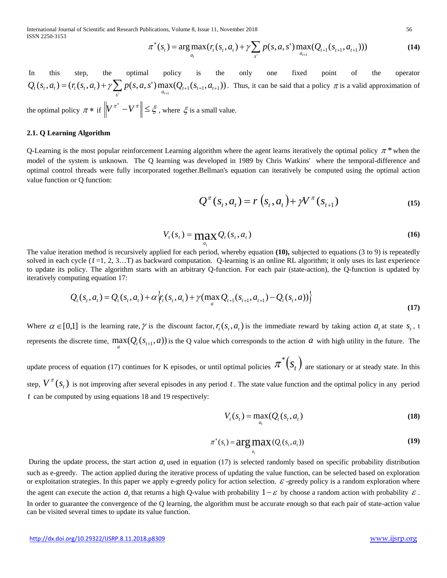International Journal of Scientific and Research Publications, Volume 8, Issue 11, November 2018 56 ISSN 2250-3153

$$
\pi^*(s_t) = \arg\max_{a_t} (r_t(s_t, a_t) + \gamma \sum_{s'} p(s, a, s') \max_{a_{t+1}} (Q_{t+1}(s_{t+1}, a_{t+1})))
$$
(14)

In this step, the optimal policy is the only one fixed point of the operator  $(S_t, a_t) = (r_t(S_t, a_t) + \gamma \sum_{s} p(s, a, s') \max_{a_{t+1}} (Q_{t+1}(S_{t+1}, a_{t+1}))$  $Q_t(s_t, a_t) = (r_t(s_t, a_t) + \gamma \sum_{s'} p(s, a, s') \max_{a_{t+1}} (Q_{t+1}(s_{t+1}, a_{t+1}))$ . Thus, it can be said that a policy  $\pi$  is a valid approximation of

the optimal policy  $\pi *$  if  $\|V^{\pi^*} - V^{\pi}\| \leq \xi$ , where  $\xi$  is a small value.

## **2.1. Q Learning Algorithm**

Q-Learning is the most popular reinforcement Learning algorithm where the agent learns iteratively the optimal policy  $\pi^*$  when the model of the system is unknown. The Q learning was developed in 1989 by Chris Watkins' where the temporal-difference and optimal control threads were fully incorporated together.Bellman's equation can iteratively be computed using the optimal action value function or Q function:

$$
Q^{\pi}(s_t, a_t) = r(s_t, a_t) + \gamma V^{\pi}(s_{t+1})
$$
\n(15)

$$
V_t(s_t) = \max_{a_t} Q_t(s_t, a_t)
$$
\n(16)

The value iteration method is recursively applied for each period, whereby equation **(10),** subjected to equations (3 to 9) is repeatedly solved in each cycle (*t* =1, 2, 3…T) as backward computation. Q-learning is an online RL algorithm; it only uses its last experience to update its policy. The algorithm starts with an arbitrary Q-function. For each pair (state-action), the Q-function is updated by iteratively computing equation 17:

$$
Q_{t}(s_{t}, a_{t}) = Q_{t}(s_{t}, a_{t}) + \alpha \left\langle r_{t}(s_{t}, a_{t}) + \gamma (\max_{a} Q_{t+1}(s_{t+1}, a_{t+1}) - Q_{t}(s_{t}, a)) \right\rangle
$$
\n(17)

Where  $\alpha \in [0,1]$  is the learning rate,  $\gamma$  is the discount factor,  $r_s(s_t, a_t)$  is the immediate reward by taking action *a*, at state *s*, t represents the discrete time,  $max(Q_t(s_{t+1}, a))$  is the Q value which corresponds to the action *a* with high utility in the future. The

update process of equation (17) continues for K episodes, or until optimal policies  $\pi^*(s_t)$  are stationary or at steady state. In this step,  $V^{\prime\prime}(s_t)$  is not improving after several episodes in any period t. The state value function and the optimal policy in any period *t* can be computed by using equations 18 and 19 respectively:

$$
V_t(s_t) = \max_{a_t} (Q_t(s_t, a_t)
$$
\n(18)

$$
\pi^*(s_t) = \underset{a_t}{\arg \max} (\mathcal{Q}_t(s_t, a_t))
$$
\n(19)

During the update process, the start action *at* used in equation (17) is selected randomly based on specific probability distribution such as e-greedy. The action applied during the iterative process of updating the value function, can be selected based on exploration or exploitation strategies. In this paper we apply e-greedy policy for action selection.  $\varepsilon$ -greedy policy is a random exploration where the agent can execute the action *a*, that returns a high Q-value with probability  $1-\varepsilon$  by choose a random action with probability  $\varepsilon$ . In order to guarantee the convergence of the Q learning, the algorithm must be accurate enough so that each pair of state-action value can be visited several times to update its value function.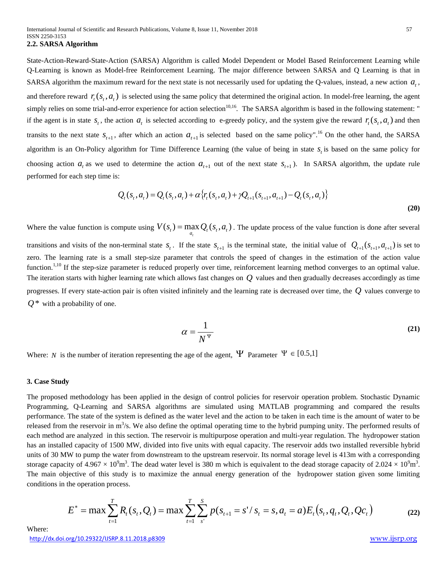State-Action-Reward-State-Action (SARSA) Algorithm is called Model Dependent or Model Based Reinforcement Learning while Q-Learning is known as Model-free Reinforcement Learning. The major difference between SARSA and Q Learning is that in SARSA algorithm the maximum reward for the next state is not necessarily used for updating the Q-values, instead, a new action  $a_{i}$ , and therefore reward  $r_r(s_t, a_t)$  is selected using the same policy that determined the original action. In model-free learning, the agent simply relies on some trial-and-error experience for action selection<sup>10,16</sup>. The SARSA algorithm is based in the following statement: " if the agent is in state  $s_t$ , the action  $a_t$  is selected according to e-greedy policy, and the system give the reward  $r_t(s_t, a_t)$  and then transits to the next state  $s_{t+1}$ , after which an action  $a_{t+1}$  is selected based on the same policy".<sup>16</sup> On the other hand, the SARSA algorithm is an On-Policy algorithm for Time Difference Learning (the value of being in state  $s<sub>i</sub>$  is based on the same policy for choosing action  $a_t$  as we used to determine the action  $a_{t+1}$  out of the next state  $s_{t+1}$ ). In SARSA algorithm, the update rule performed for each step time is:

$$
Q_t(s_t, a_t) = Q_t(s_t, a_t) + \alpha \{r_t(s_t, a_t) + \gamma Q_{t+1}(s_{t+1}, a_{t+1}) - Q_t(s_t, a_t)\}
$$
\n(20)

Where the value function is compute using  $V(s_t) = \max_{a_t} Q_t(s_t, a_t)$ . The update process of the value function is done after several

transitions and visits of the non-terminal state  $s_t$ . If the state  $s_{t+1}$  is the terminal state, the initial value of  $Q_{t+1}(s_{t+1}, a_{t+1})$  is set to zero. The learning rate is a small step-size parameter that controls the speed of changes in the estimation of the action value function.<sup>1,10</sup> If the step-size parameter is reduced properly over time, reinforcement learning method converges to an optimal value. The iteration starts with higher learning rate which allows fast changes on *Q* values and then gradually decreases accordingly as time progresses. If every state-action pair is often visited infinitely and the learning rate is decreased over time, the *Q* values converge to *Q*\* with a probability of one.

$$
\alpha = \frac{1}{N^{\Psi}}\tag{21}
$$

Where: *N* is the number of iteration representing the age of the agent,  $\Psi$  Parameter  $\Psi \in [0.5,1]$ 

#### **3. Case Study**

The proposed methodology has been applied in the design of control policies for reservoir operation problem. Stochastic Dynamic Programming, Q-Learning and SARSA algorithms are simulated using MATLAB programming and compared the results performance. The state of the system is defined as the water level and the action to be taken in each time is the amount of water to be released from the reservoir in  $m^3/s$ . We also define the optimal operating time to the hybrid pumping unity. The performed results of each method are analyzed in this section. The reservoir is multipurpose operation and multi-year regulation. The hydropower station has an installed capacity of 1500 MW, divided into five units with equal capacity. The reservoir adds two installed reversible hybrid units of 30 MW to pump the water from downstream to the upstream reservoir. Its normal storage level is 413m with a corresponding storage capacity of 4.967  $\times$  10<sup>9</sup>m<sup>3</sup>. The dead water level is 380 m which is equivalent to the dead storage capacity of 2.024  $\times$  10<sup>9</sup>m<sup>3</sup>. The main objective of this study is to maximize the annual energy generation of the hydropower station given some limiting conditions in the operation process.

$$
E^* = \max \sum_{t=1}^T R_t(s_t, Q_t) = \max \sum_{t=1}^T \sum_{s'}^S p(s_{t+1} = s'/s_t = s, a_t = a) E_t(s_t, q_t, Q_t, Q_c)
$$
(22)

<http://dx.doi.org/10.29322/IJSRP.8.11.2018.p8309> [www.ijsrp.org](http://ijsrp.org/) Where: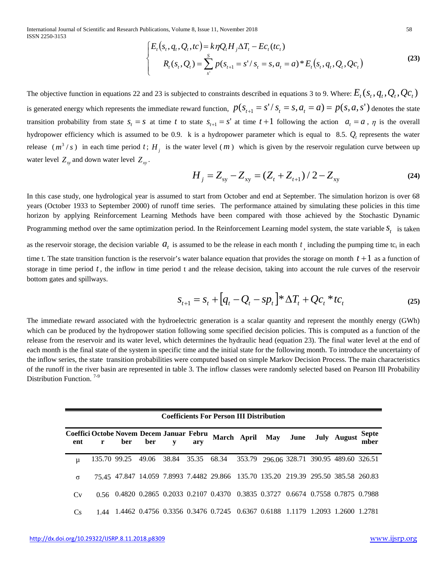International Journal of Scientific and Research Publications, Volume 8, Issue 11, November 2018 58 ISSN 2250-3153

$$
\begin{cases}\nE_t(s_t, q_t, Q_t, tc) = k\eta Q_t H_j \Delta T_t - E c_t (tc_t) \\
R_t(s_t, Q_t) = \sum_{s'}^{S} p(s_{t+1} = s' / s_t = s, a_t = a) * E_t(s_t, q_t, Q_t, Qc_t)\n\end{cases}
$$
\n(23)

The objective function in equations 22 and 23 is subjected to constraints described in equations 3 to 9. Where:  $E_r(s_r, q_r, Q_c, Q_c)$ is generated energy which represents the immediate reward function,  $p(s_{t+1} = s'/s_t = s, a_t = a) = p(s, a, s')$  denotes the state transition probability from state  $s_t = s$  at time t to state  $s_{t+1} = s'$  at time  $t+1$  following the action  $a_t = a$ ,  $\eta$  is the overall hydropower efficiency which is assumed to be 0.9. k is a hydropower parameter which is equal to 8.5.  $Q_t$  represents the water release  $(m^3/s)$  in each time period t; H<sub>j</sub> is the water level  $(m)$  which is given by the reservoir regulation curve between up water level  $Z_{xy}$  and down water level  $Z_{xy}$ .

$$
H_{j} = Z_{\rm sy} - Z_{\rm xy} = (Z_{t} + Z_{t+1}) / 2 - Z_{\rm xy}
$$
\n(24)

In this case study, one hydrological year is assumed to start from October and end at September. The simulation horizon is over 68 years (October 1933 to September 2000) of runoff time series. The performance attained by simulating these policies in this time horizon by applying Reinforcement Learning Methods have been compared with those achieved by the Stochastic Dynamic Programming method over the same optimization period. In the Reinforcement Learning model system, the state variable  $S_t$  is taken

as the reservoir storage, the decision variable  $a_t$  is assumed to be the release in each month  $t_1$  including the pumping time tc<sub>t</sub> in each time t. The state transition function is the reservoir's water balance equation that provides the storage on month  $t+1$  as a function of storage in time period *t* , the inflow in time period t and the release decision, taking into account the rule curves of the reservoir bottom gates and spillways.

$$
S_{t+1} = S_t + [q_t - Q_t - sp_t]^* \Delta T_t + Qc_t^* tc_t \tag{25}
$$

The immediate reward associated with the hydroelectric generation is a scalar quantity and represent the monthly energy (GWh) which can be produced by the hydropower station following some specified decision policies. This is computed as a function of the release from the reservoir and its water level, which determines the hydraulic head (equation 23). The final water level at the end of each month is the final state of the system in specific time and the initial state for the following month. To introduce the uncertainty of the inflow series, the state transition probabilities were computed based on simple Markov Decision Process. The main characteristics of the runoff in the river basin are represented in table 3. The inflow classes were randomly selected based on Pearson III Probability Distribution Function.<sup>7-9</sup>

| <b>Coefficients For Person III Distribution</b> |              |     |             |  |             |                                                                                    |  |  |                                           |                      |
|-------------------------------------------------|--------------|-----|-------------|--|-------------|------------------------------------------------------------------------------------|--|--|-------------------------------------------|----------------------|
| Coeffici Octobe Novem Decem Januar Febru<br>ent | r            | ber | ber         |  | ary         |                                                                                    |  |  | March April May June July August          | <b>Septe</b><br>mber |
| μ                                               | 135.70 99.25 |     | 49.06 38.84 |  | 35.35 68.34 |                                                                                    |  |  | 353.79 296.06 328.71 390.95 489.60 326.51 |                      |
| $\sigma$                                        |              |     |             |  |             | 75.45 47.847 14.059 7.8993 7.4482 29.866 135.70 135.20 219.39 295.50 385.58 260.83 |  |  |                                           |                      |
| Cv                                              |              |     |             |  |             | 0.56 0.4820 0.2865 0.2033 0.2107 0.4370 0.3835 0.3727 0.6674 0.7558 0.7875 0.7988  |  |  |                                           |                      |
| Cs.                                             |              |     |             |  |             | 1.4462 0.4756 0.3356 0.3476 0.7245 0.6367 0.6188 1.1179 1.2093 1.2600 1.2781       |  |  |                                           |                      |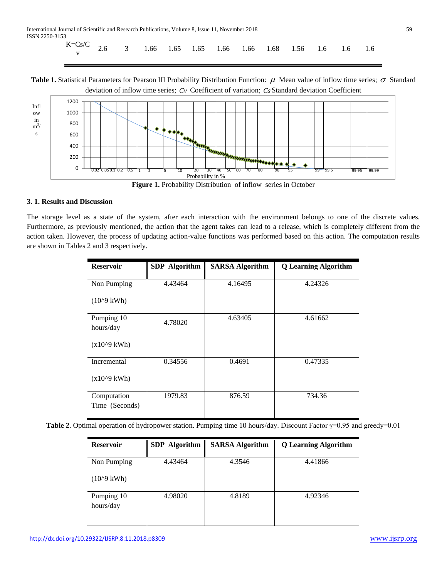| $K=Cs/C$ 2.6 3 1.66 1.65 1.66 1.66 1.66 1.68 1.56 1.6 1.6 1.6 |  |
|---------------------------------------------------------------|--|
|---------------------------------------------------------------|--|

**Table 1.** Statistical Parameters for Pearson III Probability Distribution Function:  $\mu$  Mean value of inflow time series;  $\sigma$  Standard deviation of inflow time series; *Cv* Coefficient of variation; *Cs* Standard deviation Coefficient



# **3. 1. Results and Discussion**

The storage level as a state of the system, after each interaction with the environment belongs to one of the discrete values. Furthermore, as previously mentioned, the action that the agent takes can lead to a release, which is completely different from the action taken. However, the process of updating action-value functions was performed based on this action. The computation results are shown in Tables 2 and 3 respectively.

| <b>Reservoir</b>              | <b>SDP</b> Algorithm | <b>SARSA Algorithm</b> | <b>Q</b> Learning Algorithm |  |  |
|-------------------------------|----------------------|------------------------|-----------------------------|--|--|
| Non Pumping                   | 4.43464              | 4.16495                | 4.24326                     |  |  |
| $(10^{9}$ kWh $)$             |                      |                        |                             |  |  |
| Pumping 10<br>hours/day       | 4.78020              | 4.63405                | 4.61662                     |  |  |
| $(x10^{9}$ kWh)               |                      |                        |                             |  |  |
| Incremental                   | 0.34556              | 0.4691                 | 0.47335                     |  |  |
| $(x10^{9}$ kWh)               |                      |                        |                             |  |  |
| Computation<br>Time (Seconds) | 1979.83              | 876.59                 | 734.36                      |  |  |

**Table 2**. Optimal operation of hydropower station. Pumping time 10 hours/day. Discount Factor γ=0.95 and greedy=0.01

| <b>Reservoir</b>        | <b>SDP</b> Algorithm | <b>SARSA Algorithm</b> | <b>Q</b> Learning Algorithm |  |  |
|-------------------------|----------------------|------------------------|-----------------------------|--|--|
| Non Pumping             | 4.43464              | 4.3546                 | 4.41866                     |  |  |
| $(10^{9} \text{ kWh})$  |                      |                        |                             |  |  |
| Pumping 10<br>hours/day | 4.98020              | 4.8189                 | 4.92346                     |  |  |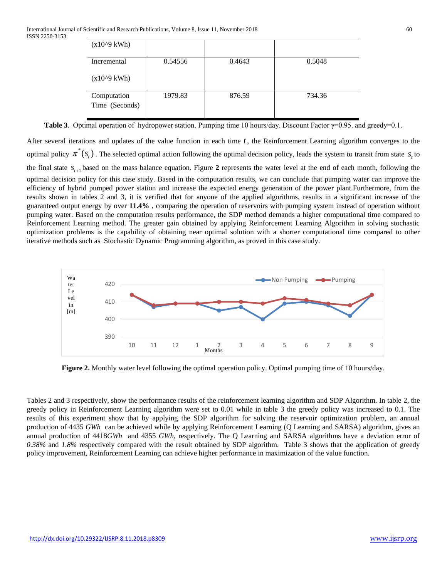| $(x10^{9}$ kWh)               |         |        |        |
|-------------------------------|---------|--------|--------|
| Incremental                   | 0.54556 | 0.4643 | 0.5048 |
| $(x10^{9}$ kWh)               |         |        |        |
| Computation<br>Time (Seconds) | 1979.83 | 876.59 | 734.36 |

**Table 3**. Optimal operation of hydropower station. Pumping time 10 hours/day. Discount Factor γ=0.95. and greedy=0.1.

After several iterations and updates of the value function in each time *t* , the Reinforcement Learning algorithm converges to the optimal policy  $\pi^*(s_t)$ . The selected optimal action following the optimal decision policy, leads the system to transit from state  $s_t$  to the final state  $S_{t+1}$  based on the mass balance equation. Figure 2 represents the water level at the end of each month, following the optimal decision policy for this case study. Based in the computation results, we can conclude that pumping water can improve the efficiency of hybrid pumped power station and increase the expected energy generation of the power plant.Furthermore, from the results shown in tables 2 and 3, it is verified that for anyone of the applied algorithms, results in a significant increase of the guaranteed output energy by over **11.4%** , comparing the operation of reservoirs with pumping system instead of operation without pumping water. Based on the computation results performance, the SDP method demands a higher computational time compared to Reinforcement Learning method. The greater gain obtained by applying Reinforcement Learning Algorithm in solving stochastic optimization problems is the capability of obtaining near optimal solution with a shorter computational time compared to other iterative methods such as Stochastic Dynamic Programming algorithm, as proved in this case study.



**Figure 2.** Monthly water level following the optimal operation policy. Optimal pumping time of 10 hours/day.

Tables 2 and 3 respectively, show the performance results of the reinforcement learning algorithm and SDP Algorithm. In table 2, the greedy policy in Reinforcement Learning algorithm were set to 0.01 while in table 3 the greedy policy was increased to 0.1. The results of this experiment show that by applying the SDP algorithm for solving the reservoir optimization problem, an annual production of 4435 *GWh* can be achieved while by applying Reinforcement Learning (Q Learning and SARSA) algorithm, gives an annual production of 4418*GWh* and 4355 *GWh,* respectively. The Q Learning and SARSA algorithms have a deviation error of *0.38%* and *1.8%* respectively compared with the result obtained by SDP algorithm. Table 3 shows that the application of greedy policy improvement, Reinforcement Learning can achieve higher performance in maximization of the value function.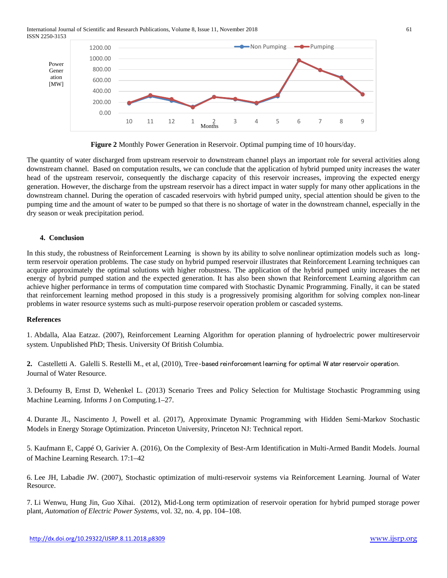International Journal of Scientific and Research Publications, Volume 8, Issue 11, November 2018 61 ISSN 2250-3153



**Figure 2** Monthly Power Generation in Reservoir. Optimal pumping time of 10 hours/day.

The quantity of water discharged from upstream reservoir to downstream channel plays an important role for several activities along downstream channel. Based on computation results, we can conclude that the application of hybrid pumped unity increases the water head of the upstream reservoir, consequently the discharge capacity of this reservoir increases, improving the expected energy generation. However, the discharge from the upstream reservoir has a direct impact in water supply for many other applications in the downstream channel. During the operation of cascaded reservoirs with hybrid pumped unity, special attention should be given to the pumping time and the amount of water to be pumped so that there is no shortage of water in the downstream channel, especially in the dry season or weak precipitation period.

## **4. Conclusion**

In this study, the robustness of Reinforcement Learning is shown by its ability to solve nonlinear optimization models such as longterm reservoir operation problems. The case study on hybrid pumped reservoir illustrates that Reinforcement Learning techniques can acquire approximately the optimal solutions with higher robustness. The application of the hybrid pumped unity increases the net energy of hybrid pumped station and the expected generation. It has also been shown that Reinforcement Learning algorithm can achieve higher performance in terms of computation time compared with Stochastic Dynamic Programming. Finally, it can be stated that reinforcement learning method proposed in this study is a progressively promising algorithm for solving complex non-linear problems in water resource systems such as multi-purpose reservoir operation problem or cascaded systems.

## **References**

1. Abdalla, Alaa Eatzaz. (2007), Reinforcement Learning Algorithm for operation planning of hydroelectric power multireservoir system. Unpublished PhD; Thesis. University Of British Columbia.

**2.** [Castelletti](https://agupubs.onlinelibrary.wiley.com/action/doSearch?ContribAuthorStored=Castelletti,+A) A. [Galelli](https://agupubs.onlinelibrary.wiley.com/action/doSearch?ContribAuthorStored=Galelli,+S) S. [Restelli](https://agupubs.onlinelibrary.wiley.com/action/doSearch?ContribAuthorStored=Restelli,+M) M., et al, (2010), Tree‐based reinforcement learning for optimal W ater reservoir operation. Journal of Water Resource.

3. Defourny B, Ernst D, Wehenkel L. (2013) Scenario Trees and Policy Selection for Multistage Stochastic Programming using Machine Learning. Informs J on Computing.1–27.

4. Durante JL, Nascimento J, Powell et al. (2017), Approximate Dynamic Programming with Hidden Semi-Markov Stochastic Models in Energy Storage Optimization. Princeton University, Princeton NJ: Technical report.

5. Kaufmann E, Cappé O, Garivier A. (2016), On the Complexity of Best-Arm Identification in Multi-Armed Bandit Models. Journal of Machine Learning Research. 17:1–42

6. Lee JH, Labadie JW. (2007), Stochastic optimization of multi-reservoir systems via Reinforcement Learning. Journal of Water Resource.

7. Li Wenwu, Hung Jin, Guo Xihai. (2012), Mid-Long term optimization of reservoir operation for hybrid pumped storage power plant, *Automation of Electric Power Systems*, vol. 32, no. 4, pp. 104–108.